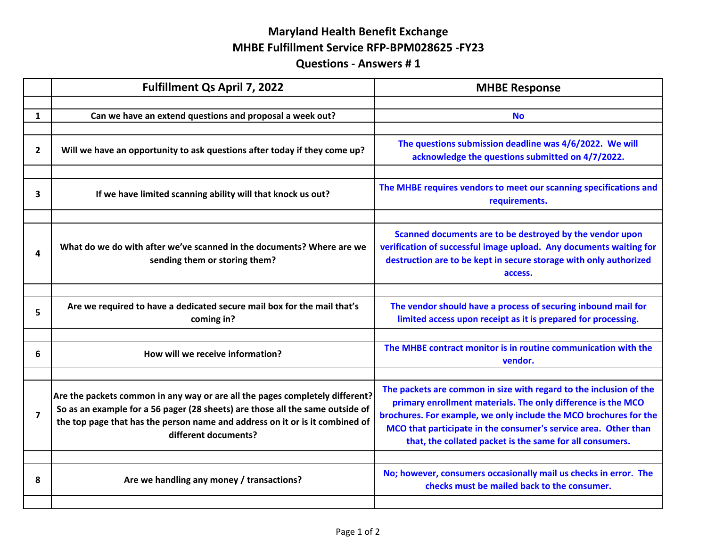## **Maryland Health Benefit Exchange MHBE Fulfillment Service RFP‐BPM028625 ‐FY23Questions ‐ Answers # 1**

|              | <b>Fulfillment Qs April 7, 2022</b>                                                                                                                                                                                                                                   | <b>MHBE Response</b>                                                                                                                                                                                                                                                                                                                   |
|--------------|-----------------------------------------------------------------------------------------------------------------------------------------------------------------------------------------------------------------------------------------------------------------------|----------------------------------------------------------------------------------------------------------------------------------------------------------------------------------------------------------------------------------------------------------------------------------------------------------------------------------------|
|              |                                                                                                                                                                                                                                                                       |                                                                                                                                                                                                                                                                                                                                        |
| $\mathbf{1}$ | Can we have an extend questions and proposal a week out?                                                                                                                                                                                                              | <b>No</b>                                                                                                                                                                                                                                                                                                                              |
|              |                                                                                                                                                                                                                                                                       |                                                                                                                                                                                                                                                                                                                                        |
| $\mathbf{2}$ | Will we have an opportunity to ask questions after today if they come up?                                                                                                                                                                                             | The questions submission deadline was 4/6/2022. We will<br>acknowledge the questions submitted on 4/7/2022.                                                                                                                                                                                                                            |
|              |                                                                                                                                                                                                                                                                       |                                                                                                                                                                                                                                                                                                                                        |
| 3            | If we have limited scanning ability will that knock us out?                                                                                                                                                                                                           | The MHBE requires vendors to meet our scanning specifications and<br>requirements.                                                                                                                                                                                                                                                     |
|              |                                                                                                                                                                                                                                                                       |                                                                                                                                                                                                                                                                                                                                        |
| 4            | What do we do with after we've scanned in the documents? Where are we<br>sending them or storing them?                                                                                                                                                                | Scanned documents are to be destroyed by the vendor upon<br>verification of successful image upload. Any documents waiting for<br>destruction are to be kept in secure storage with only authorized<br>access.                                                                                                                         |
|              |                                                                                                                                                                                                                                                                       |                                                                                                                                                                                                                                                                                                                                        |
| 5            | Are we required to have a dedicated secure mail box for the mail that's<br>coming in?                                                                                                                                                                                 | The vendor should have a process of securing inbound mail for<br>limited access upon receipt as it is prepared for processing.                                                                                                                                                                                                         |
|              |                                                                                                                                                                                                                                                                       |                                                                                                                                                                                                                                                                                                                                        |
| 6            | How will we receive information?                                                                                                                                                                                                                                      | The MHBE contract monitor is in routine communication with the<br>vendor.                                                                                                                                                                                                                                                              |
|              |                                                                                                                                                                                                                                                                       |                                                                                                                                                                                                                                                                                                                                        |
| 7            | Are the packets common in any way or are all the pages completely different?<br>So as an example for a 56 pager (28 sheets) are those all the same outside of<br>the top page that has the person name and address on it or is it combined of<br>different documents? | The packets are common in size with regard to the inclusion of the<br>primary enrollment materials. The only difference is the MCO<br>brochures. For example, we only include the MCO brochures for the<br>MCO that participate in the consumer's service area. Other than<br>that, the collated packet is the same for all consumers. |
|              |                                                                                                                                                                                                                                                                       |                                                                                                                                                                                                                                                                                                                                        |
| 8            | Are we handling any money / transactions?                                                                                                                                                                                                                             | No; however, consumers occasionally mail us checks in error. The<br>checks must be mailed back to the consumer.                                                                                                                                                                                                                        |
|              |                                                                                                                                                                                                                                                                       |                                                                                                                                                                                                                                                                                                                                        |